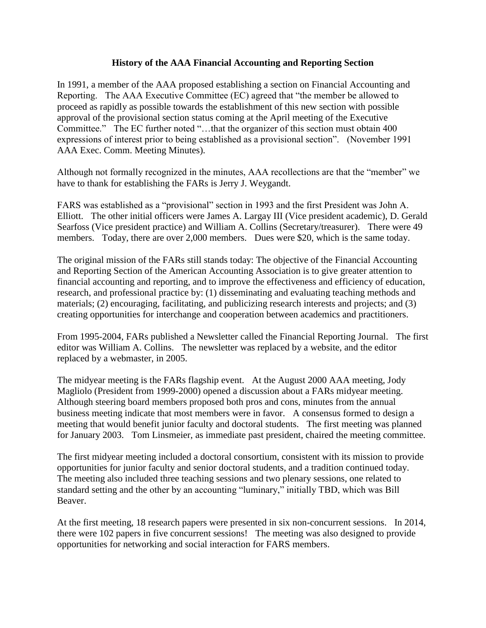## **History of the AAA Financial Accounting and Reporting Section**

In 1991, a member of the AAA proposed establishing a section on Financial Accounting and Reporting. The AAA Executive Committee (EC) agreed that "the member be allowed to proceed as rapidly as possible towards the establishment of this new section with possible approval of the provisional section status coming at the April meeting of the Executive Committee." The EC further noted "…that the organizer of this section must obtain 400 expressions of interest prior to being established as a provisional section". (November 1991 AAA Exec. Comm. Meeting Minutes).

Although not formally recognized in the minutes, AAA recollections are that the "member" we have to thank for establishing the FARs is Jerry J. Weygandt.

FARS was established as a "provisional" section in 1993 and the first President was John A. Elliott. The other initial officers were James A. Largay III (Vice president academic), D. Gerald Searfoss (Vice president practice) and William A. Collins (Secretary/treasurer). There were 49 members. Today, there are over 2,000 members. Dues were \$20, which is the same today.

The original mission of the FARs still stands today: The objective of the Financial Accounting and Reporting Section of the American Accounting Association is to give greater attention to financial accounting and reporting, and to improve the effectiveness and efficiency of education, research, and professional practice by: (1) disseminating and evaluating teaching methods and materials; (2) encouraging, facilitating, and publicizing research interests and projects; and (3) creating opportunities for interchange and cooperation between academics and practitioners.

From 1995-2004, FARs published a Newsletter called the Financial Reporting Journal. The first editor was William A. Collins. The newsletter was replaced by a website, and the editor replaced by a webmaster, in 2005.

The midyear meeting is the FARs flagship event. At the August 2000 AAA meeting, Jody Magliolo (President from 1999-2000) opened a discussion about a FARs midyear meeting. Although steering board members proposed both pros and cons, minutes from the annual business meeting indicate that most members were in favor. A consensus formed to design a meeting that would benefit junior faculty and doctoral students. The first meeting was planned for January 2003. Tom Linsmeier, as immediate past president, chaired the meeting committee.

The first midyear meeting included a doctoral consortium, consistent with its mission to provide opportunities for junior faculty and senior doctoral students, and a tradition continued today. The meeting also included three teaching sessions and two plenary sessions, one related to standard setting and the other by an accounting "luminary," initially TBD, which was Bill Beaver.

At the first meeting, 18 research papers were presented in six non-concurrent sessions. In 2014, there were 102 papers in five concurrent sessions! The meeting was also designed to provide opportunities for networking and social interaction for FARS members.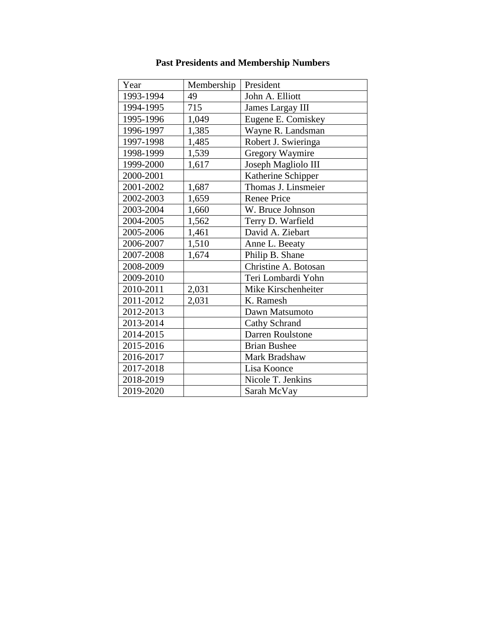| Year      | Membership | President            |
|-----------|------------|----------------------|
| 1993-1994 | 49         | John A. Elliott      |
| 1994-1995 | 715        | James Largay III     |
| 1995-1996 | 1,049      | Eugene E. Comiskey   |
| 1996-1997 | 1,385      | Wayne R. Landsman    |
| 1997-1998 | 1,485      | Robert J. Swieringa  |
| 1998-1999 | 1,539      | Gregory Waymire      |
| 1999-2000 | 1,617      | Joseph Magliolo III  |
| 2000-2001 |            | Katherine Schipper   |
| 2001-2002 | 1,687      | Thomas J. Linsmeier  |
| 2002-2003 | 1,659      | <b>Renee Price</b>   |
| 2003-2004 | 1,660      | W. Bruce Johnson     |
| 2004-2005 | 1,562      | Terry D. Warfield    |
| 2005-2006 | 1,461      | David A. Ziebart     |
| 2006-2007 | 1,510      | Anne L. Beeaty       |
| 2007-2008 | 1,674      | Philip B. Shane      |
| 2008-2009 |            | Christine A. Botosan |
| 2009-2010 |            | Teri Lombardi Yohn   |
| 2010-2011 | 2,031      | Mike Kirschenheiter  |
| 2011-2012 | 2,031      | K. Ramesh            |
| 2012-2013 |            | Dawn Matsumoto       |
| 2013-2014 |            | Cathy Schrand        |
| 2014-2015 |            | Darren Roulstone     |
| 2015-2016 |            | <b>Brian Bushee</b>  |
| 2016-2017 |            | Mark Bradshaw        |
| 2017-2018 |            | Lisa Koonce          |
| 2018-2019 |            | Nicole T. Jenkins    |
| 2019-2020 |            | Sarah McVay          |

## **Past Presidents and Membership Numbers**